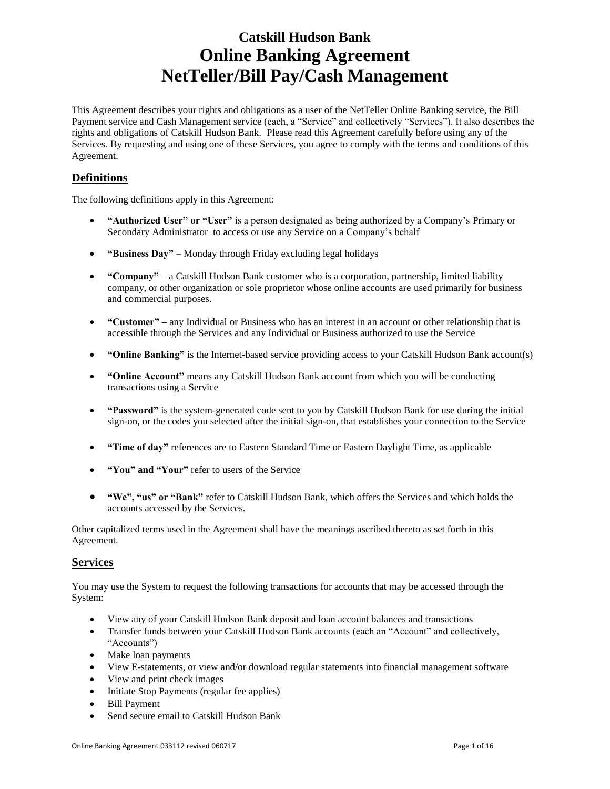# **Catskill Hudson Bank Online Banking Agreement NetTeller/Bill Pay/Cash Management**

This Agreement describes your rights and obligations as a user of the NetTeller Online Banking service, the Bill Payment service and Cash Management service (each, a "Service" and collectively "Services"). It also describes the rights and obligations of Catskill Hudson Bank. Please read this Agreement carefully before using any of the Services. By requesting and using one of these Services, you agree to comply with the terms and conditions of this Agreement.

# **Definitions**

The following definitions apply in this Agreement:

- **"Authorized User" or "User"** is a person designated as being authorized by a Company's Primary or Secondary Administrator to access or use any Service on a Company's behalf
- **"Business Day"** Monday through Friday excluding legal holidays
- **"Company"** a Catskill Hudson Bank customer who is a corporation, partnership, limited liability company, or other organization or sole proprietor whose online accounts are used primarily for business and commercial purposes.
- **"Customer" –** any Individual or Business who has an interest in an account or other relationship that is accessible through the Services and any Individual or Business authorized to use the Service
- **"Online Banking"** is the Internet-based service providing access to your Catskill Hudson Bank account(s)
- **"Online Account"** means any Catskill Hudson Bank account from which you will be conducting transactions using a Service
- **"Password"** is the system-generated code sent to you by Catskill Hudson Bank for use during the initial sign-on, or the codes you selected after the initial sign-on, that establishes your connection to the Service
- **"Time of day"** references are to Eastern Standard Time or Eastern Daylight Time, as applicable
- **"You" and "Your"** refer to users of the Service
- **"We", "us" or "Bank"** refer to Catskill Hudson Bank, which offers the Services and which holds the accounts accessed by the Services.

Other capitalized terms used in the Agreement shall have the meanings ascribed thereto as set forth in this Agreement.

### **Services**

You may use the System to request the following transactions for accounts that may be accessed through the System:

- View any of your Catskill Hudson Bank deposit and loan account balances and transactions
- Transfer funds between your Catskill Hudson Bank accounts (each an "Account" and collectively, "Accounts")
- Make loan payments
- View E-statements, or view and/or download regular statements into financial management software
- View and print check images
- Initiate Stop Payments (regular fee applies)
- Bill Payment
- Send secure email to Catskill Hudson Bank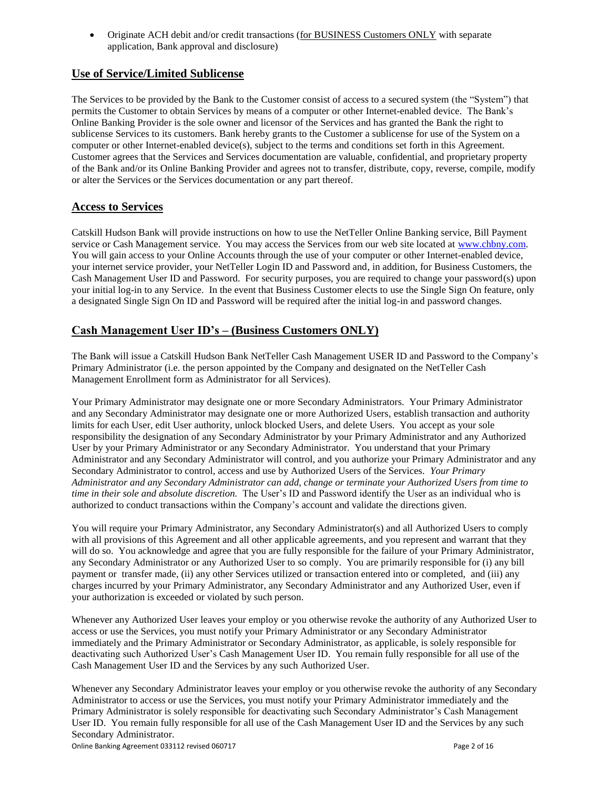Originate ACH debit and/or credit transactions (for BUSINESS Customers ONLY with separate application, Bank approval and disclosure)

# **Use of Service/Limited Sublicense**

The Services to be provided by the Bank to the Customer consist of access to a secured system (the "System") that permits the Customer to obtain Services by means of a computer or other Internet-enabled device. The Bank's Online Banking Provider is the sole owner and licensor of the Services and has granted the Bank the right to sublicense Services to its customers. Bank hereby grants to the Customer a sublicense for use of the System on a computer or other Internet-enabled device(s), subject to the terms and conditions set forth in this Agreement. Customer agrees that the Services and Services documentation are valuable, confidential, and proprietary property of the Bank and/or its Online Banking Provider and agrees not to transfer, distribute, copy, reverse, compile, modify or alter the Services or the Services documentation or any part thereof.

# **Access to Services**

Catskill Hudson Bank will provide instructions on how to use the NetTeller Online Banking service, Bill Payment service or Cash Management service. You may access the Services from our web site located at [www.chbny.com.](http://www.chbny.com/) You will gain access to your Online Accounts through the use of your computer or other Internet-enabled device, your internet service provider, your NetTeller Login ID and Password and, in addition, for Business Customers, the Cash Management User ID and Password. For security purposes, you are required to change your password(s) upon your initial log-in to any Service. In the event that Business Customer elects to use the Single Sign On feature, only a designated Single Sign On ID and Password will be required after the initial log-in and password changes.

# **Cash Management User ID's – (Business Customers ONLY)**

The Bank will issue a Catskill Hudson Bank NetTeller Cash Management USER ID and Password to the Company's Primary Administrator (i.e. the person appointed by the Company and designated on the NetTeller Cash Management Enrollment form as Administrator for all Services).

Your Primary Administrator may designate one or more Secondary Administrators. Your Primary Administrator and any Secondary Administrator may designate one or more Authorized Users, establish transaction and authority limits for each User, edit User authority, unlock blocked Users, and delete Users. You accept as your sole responsibility the designation of any Secondary Administrator by your Primary Administrator and any Authorized User by your Primary Administrator or any Secondary Administrator. You understand that your Primary Administrator and any Secondary Administrator will control, and you authorize your Primary Administrator and any Secondary Administrator to control, access and use by Authorized Users of the Services. *Your Primary Administrator and any Secondary Administrator can add, change or terminate your Authorized Users from time to time in their sole and absolute discretion.* The User's ID and Password identify the User as an individual who is authorized to conduct transactions within the Company's account and validate the directions given.

You will require your Primary Administrator, any Secondary Administrator(s) and all Authorized Users to comply with all provisions of this Agreement and all other applicable agreements, and you represent and warrant that they will do so. You acknowledge and agree that you are fully responsible for the failure of your Primary Administrator, any Secondary Administrator or any Authorized User to so comply. You are primarily responsible for (i) any bill payment or transfer made, (ii) any other Services utilized or transaction entered into or completed, and (iii) any charges incurred by your Primary Administrator, any Secondary Administrator and any Authorized User, even if your authorization is exceeded or violated by such person.

Whenever any Authorized User leaves your employ or you otherwise revoke the authority of any Authorized User to access or use the Services, you must notify your Primary Administrator or any Secondary Administrator immediately and the Primary Administrator or Secondary Administrator, as applicable, is solely responsible for deactivating such Authorized User's Cash Management User ID. You remain fully responsible for all use of the Cash Management User ID and the Services by any such Authorized User.

Whenever any Secondary Administrator leaves your employ or you otherwise revoke the authority of any Secondary Administrator to access or use the Services, you must notify your Primary Administrator immediately and the Primary Administrator is solely responsible for deactivating such Secondary Administrator's Cash Management User ID. You remain fully responsible for all use of the Cash Management User ID and the Services by any such Secondary Administrator.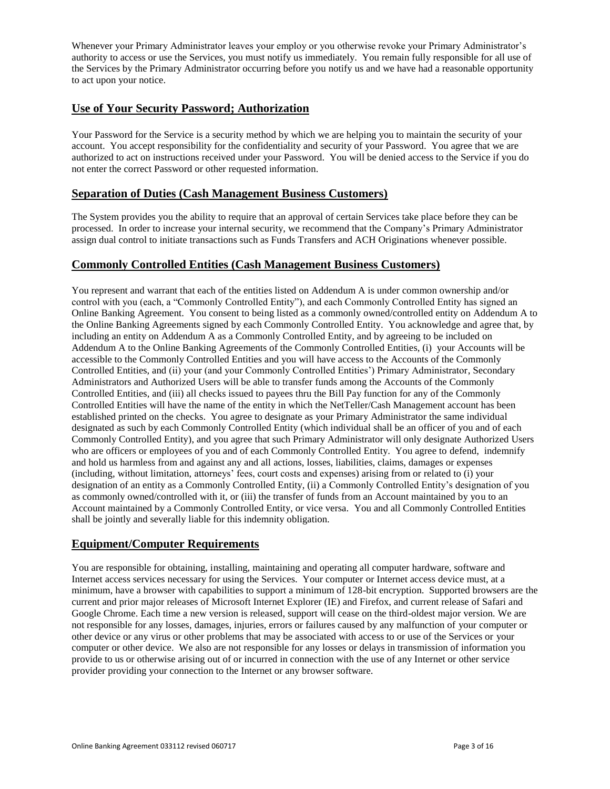Whenever your Primary Administrator leaves your employ or you otherwise revoke your Primary Administrator's authority to access or use the Services, you must notify us immediately. You remain fully responsible for all use of the Services by the Primary Administrator occurring before you notify us and we have had a reasonable opportunity to act upon your notice.

### **Use of Your Security Password; Authorization**

Your Password for the Service is a security method by which we are helping you to maintain the security of your account. You accept responsibility for the confidentiality and security of your Password. You agree that we are authorized to act on instructions received under your Password. You will be denied access to the Service if you do not enter the correct Password or other requested information.

### **Separation of Duties (Cash Management Business Customers)**

The System provides you the ability to require that an approval of certain Services take place before they can be processed. In order to increase your internal security, we recommend that the Company's Primary Administrator assign dual control to initiate transactions such as Funds Transfers and ACH Originations whenever possible.

#### **Commonly Controlled Entities (Cash Management Business Customers)**

You represent and warrant that each of the entities listed on Addendum A is under common ownership and/or control with you (each, a "Commonly Controlled Entity"), and each Commonly Controlled Entity has signed an Online Banking Agreement. You consent to being listed as a commonly owned/controlled entity on Addendum A to the Online Banking Agreements signed by each Commonly Controlled Entity. You acknowledge and agree that, by including an entity on Addendum A as a Commonly Controlled Entity, and by agreeing to be included on Addendum A to the Online Banking Agreements of the Commonly Controlled Entities, (i) your Accounts will be accessible to the Commonly Controlled Entities and you will have access to the Accounts of the Commonly Controlled Entities, and (ii) your (and your Commonly Controlled Entities') Primary Administrator, Secondary Administrators and Authorized Users will be able to transfer funds among the Accounts of the Commonly Controlled Entities, and (iii) all checks issued to payees thru the Bill Pay function for any of the Commonly Controlled Entities will have the name of the entity in which the NetTeller/Cash Management account has been established printed on the checks. You agree to designate as your Primary Administrator the same individual designated as such by each Commonly Controlled Entity (which individual shall be an officer of you and of each Commonly Controlled Entity), and you agree that such Primary Administrator will only designate Authorized Users who are officers or employees of you and of each Commonly Controlled Entity. You agree to defend, indemnify and hold us harmless from and against any and all actions, losses, liabilities, claims, damages or expenses (including, without limitation, attorneys' fees, court costs and expenses) arising from or related to (i) your designation of an entity as a Commonly Controlled Entity, (ii) a Commonly Controlled Entity's designation of you as commonly owned/controlled with it, or (iii) the transfer of funds from an Account maintained by you to an Account maintained by a Commonly Controlled Entity, or vice versa. You and all Commonly Controlled Entities shall be jointly and severally liable for this indemnity obligation.

### **Equipment/Computer Requirements**

You are responsible for obtaining, installing, maintaining and operating all computer hardware, software and Internet access services necessary for using the Services. Your computer or Internet access device must, at a minimum, have a browser with capabilities to support a minimum of 128-bit encryption. Supported browsers are the current and prior major releases of Microsoft Internet Explorer (IE) and Firefox, and current release of Safari and Google Chrome. Each time a new version is released, support will cease on the third-oldest major version. We are not responsible for any losses, damages, injuries, errors or failures caused by any malfunction of your computer or other device or any virus or other problems that may be associated with access to or use of the Services or your computer or other device. We also are not responsible for any losses or delays in transmission of information you provide to us or otherwise arising out of or incurred in connection with the use of any Internet or other service provider providing your connection to the Internet or any browser software.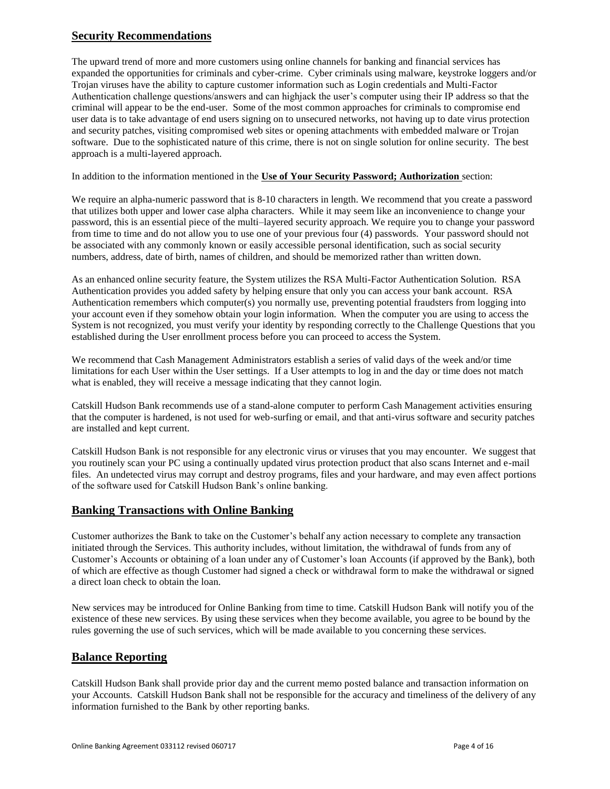# **Security Recommendations**

The upward trend of more and more customers using online channels for banking and financial services has expanded the opportunities for criminals and cyber-crime. Cyber criminals using malware, keystroke loggers and/or Trojan viruses have the ability to capture customer information such as Login credentials and Multi-Factor Authentication challenge questions/answers and can highjack the user's computer using their IP address so that the criminal will appear to be the end-user. Some of the most common approaches for criminals to compromise end user data is to take advantage of end users signing on to unsecured networks, not having up to date virus protection and security patches, visiting compromised web sites or opening attachments with embedded malware or Trojan software. Due to the sophisticated nature of this crime, there is not on single solution for online security. The best approach is a multi-layered approach.

In addition to the information mentioned in the **Use of Your Security Password; Authorization** section:

We require an alpha-numeric password that is 8-10 characters in length. We recommend that you create a password that utilizes both upper and lower case alpha characters. While it may seem like an inconvenience to change your password, this is an essential piece of the multi–layered security approach. We require you to change your password from time to time and do not allow you to use one of your previous four (4) passwords. Your password should not be associated with any commonly known or easily accessible personal identification, such as social security numbers, address, date of birth, names of children, and should be memorized rather than written down.

As an enhanced online security feature, the System utilizes the RSA Multi-Factor Authentication Solution. RSA Authentication provides you added safety by helping ensure that only you can access your bank account. RSA Authentication remembers which computer(s) you normally use, preventing potential fraudsters from logging into your account even if they somehow obtain your login information. When the computer you are using to access the System is not recognized, you must verify your identity by responding correctly to the Challenge Questions that you established during the User enrollment process before you can proceed to access the System.

We recommend that Cash Management Administrators establish a series of valid days of the week and/or time limitations for each User within the User settings. If a User attempts to log in and the day or time does not match what is enabled, they will receive a message indicating that they cannot login.

Catskill Hudson Bank recommends use of a stand-alone computer to perform Cash Management activities ensuring that the computer is hardened, is not used for web-surfing or email, and that anti-virus software and security patches are installed and kept current.

Catskill Hudson Bank is not responsible for any electronic virus or viruses that you may encounter. We suggest that you routinely scan your PC using a continually updated virus protection product that also scans Internet and e-mail files. An undetected virus may corrupt and destroy programs, files and your hardware, and may even affect portions of the software used for Catskill Hudson Bank's online banking.

### **Banking Transactions with Online Banking**

Customer authorizes the Bank to take on the Customer's behalf any action necessary to complete any transaction initiated through the Services. This authority includes, without limitation, the withdrawal of funds from any of Customer's Accounts or obtaining of a loan under any of Customer's loan Accounts (if approved by the Bank), both of which are effective as though Customer had signed a check or withdrawal form to make the withdrawal or signed a direct loan check to obtain the loan.

New services may be introduced for Online Banking from time to time. Catskill Hudson Bank will notify you of the existence of these new services. By using these services when they become available, you agree to be bound by the rules governing the use of such services, which will be made available to you concerning these services.

# **Balance Reporting**

Catskill Hudson Bank shall provide prior day and the current memo posted balance and transaction information on your Accounts. Catskill Hudson Bank shall not be responsible for the accuracy and timeliness of the delivery of any information furnished to the Bank by other reporting banks.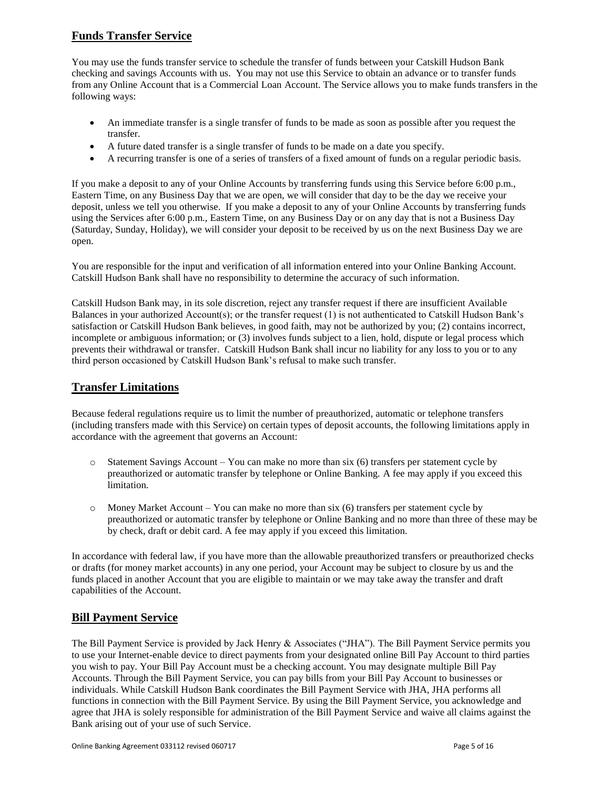# **Funds Transfer Service**

You may use the funds transfer service to schedule the transfer of funds between your Catskill Hudson Bank checking and savings Accounts with us. You may not use this Service to obtain an advance or to transfer funds from any Online Account that is a Commercial Loan Account. The Service allows you to make funds transfers in the following ways:

- An immediate transfer is a single transfer of funds to be made as soon as possible after you request the transfer.
- A future dated transfer is a single transfer of funds to be made on a date you specify.
- A recurring transfer is one of a series of transfers of a fixed amount of funds on a regular periodic basis.

If you make a deposit to any of your Online Accounts by transferring funds using this Service before 6:00 p.m., Eastern Time, on any Business Day that we are open, we will consider that day to be the day we receive your deposit, unless we tell you otherwise. If you make a deposit to any of your Online Accounts by transferring funds using the Services after 6:00 p.m., Eastern Time, on any Business Day or on any day that is not a Business Day (Saturday, Sunday, Holiday), we will consider your deposit to be received by us on the next Business Day we are open.

You are responsible for the input and verification of all information entered into your Online Banking Account. Catskill Hudson Bank shall have no responsibility to determine the accuracy of such information.

Catskill Hudson Bank may, in its sole discretion, reject any transfer request if there are insufficient Available Balances in your authorized Account(s); or the transfer request (1) is not authenticated to Catskill Hudson Bank's satisfaction or Catskill Hudson Bank believes, in good faith, may not be authorized by you; (2) contains incorrect, incomplete or ambiguous information; or (3) involves funds subject to a lien, hold, dispute or legal process which prevents their withdrawal or transfer. Catskill Hudson Bank shall incur no liability for any loss to you or to any third person occasioned by Catskill Hudson Bank's refusal to make such transfer.

# **Transfer Limitations**

Because federal regulations require us to limit the number of preauthorized, automatic or telephone transfers (including transfers made with this Service) on certain types of deposit accounts, the following limitations apply in accordance with the agreement that governs an Account:

- o Statement Savings Account You can make no more than six (6) transfers per statement cycle by preauthorized or automatic transfer by telephone or Online Banking. A fee may apply if you exceed this limitation.
- $\circ$  Money Market Account You can make no more than six (6) transfers per statement cycle by preauthorized or automatic transfer by telephone or Online Banking and no more than three of these may be by check, draft or debit card. A fee may apply if you exceed this limitation.

In accordance with federal law, if you have more than the allowable preauthorized transfers or preauthorized checks or drafts (for money market accounts) in any one period, your Account may be subject to closure by us and the funds placed in another Account that you are eligible to maintain or we may take away the transfer and draft capabilities of the Account.

# **Bill Payment Service**

The Bill Payment Service is provided by Jack Henry & Associates ("JHA"). The Bill Payment Service permits you to use your Internet-enable device to direct payments from your designated online Bill Pay Account to third parties you wish to pay. Your Bill Pay Account must be a checking account. You may designate multiple Bill Pay Accounts. Through the Bill Payment Service, you can pay bills from your Bill Pay Account to businesses or individuals. While Catskill Hudson Bank coordinates the Bill Payment Service with JHA, JHA performs all functions in connection with the Bill Payment Service. By using the Bill Payment Service, you acknowledge and agree that JHA is solely responsible for administration of the Bill Payment Service and waive all claims against the Bank arising out of your use of such Service.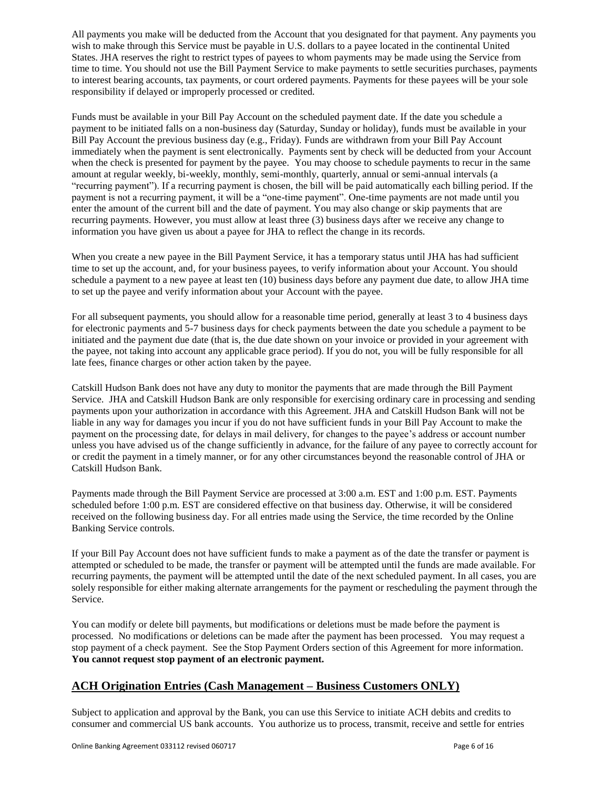All payments you make will be deducted from the Account that you designated for that payment. Any payments you wish to make through this Service must be payable in U.S. dollars to a payee located in the continental United States. JHA reserves the right to restrict types of payees to whom payments may be made using the Service from time to time. You should not use the Bill Payment Service to make payments to settle securities purchases, payments to interest bearing accounts, tax payments, or court ordered payments. Payments for these payees will be your sole responsibility if delayed or improperly processed or credited.

Funds must be available in your Bill Pay Account on the scheduled payment date. If the date you schedule a payment to be initiated falls on a non-business day (Saturday, Sunday or holiday), funds must be available in your Bill Pay Account the previous business day (e.g., Friday). Funds are withdrawn from your Bill Pay Account immediately when the payment is sent electronically. Payments sent by check will be deducted from your Account when the check is presented for payment by the payee. You may choose to schedule payments to recur in the same amount at regular weekly, bi-weekly, monthly, semi-monthly, quarterly, annual or semi-annual intervals (a "recurring payment"). If a recurring payment is chosen, the bill will be paid automatically each billing period. If the payment is not a recurring payment, it will be a "one-time payment". One-time payments are not made until you enter the amount of the current bill and the date of payment. You may also change or skip payments that are recurring payments. However, you must allow at least three (3) business days after we receive any change to information you have given us about a payee for JHA to reflect the change in its records.

When you create a new payee in the Bill Payment Service, it has a temporary status until JHA has had sufficient time to set up the account, and, for your business payees, to verify information about your Account. You should schedule a payment to a new payee at least ten (10) business days before any payment due date, to allow JHA time to set up the payee and verify information about your Account with the payee.

For all subsequent payments, you should allow for a reasonable time period, generally at least 3 to 4 business days for electronic payments and 5-7 business days for check payments between the date you schedule a payment to be initiated and the payment due date (that is, the due date shown on your invoice or provided in your agreement with the payee, not taking into account any applicable grace period). If you do not, you will be fully responsible for all late fees, finance charges or other action taken by the payee.

Catskill Hudson Bank does not have any duty to monitor the payments that are made through the Bill Payment Service. JHA and Catskill Hudson Bank are only responsible for exercising ordinary care in processing and sending payments upon your authorization in accordance with this Agreement. JHA and Catskill Hudson Bank will not be liable in any way for damages you incur if you do not have sufficient funds in your Bill Pay Account to make the payment on the processing date, for delays in mail delivery, for changes to the payee's address or account number unless you have advised us of the change sufficiently in advance, for the failure of any payee to correctly account for or credit the payment in a timely manner, or for any other circumstances beyond the reasonable control of JHA or Catskill Hudson Bank.

Payments made through the Bill Payment Service are processed at 3:00 a.m. EST and 1:00 p.m. EST. Payments scheduled before 1:00 p.m. EST are considered effective on that business day. Otherwise, it will be considered received on the following business day. For all entries made using the Service, the time recorded by the Online Banking Service controls.

If your Bill Pay Account does not have sufficient funds to make a payment as of the date the transfer or payment is attempted or scheduled to be made, the transfer or payment will be attempted until the funds are made available. For recurring payments, the payment will be attempted until the date of the next scheduled payment. In all cases, you are solely responsible for either making alternate arrangements for the payment or rescheduling the payment through the Service.

You can modify or delete bill payments, but modifications or deletions must be made before the payment is processed. No modifications or deletions can be made after the payment has been processed. You may request a stop payment of a check payment. See the Stop Payment Orders section of this Agreement for more information. **You cannot request stop payment of an electronic payment.**

# **ACH Origination Entries (Cash Management – Business Customers ONLY)**

Subject to application and approval by the Bank, you can use this Service to initiate ACH debits and credits to consumer and commercial US bank accounts. You authorize us to process, transmit, receive and settle for entries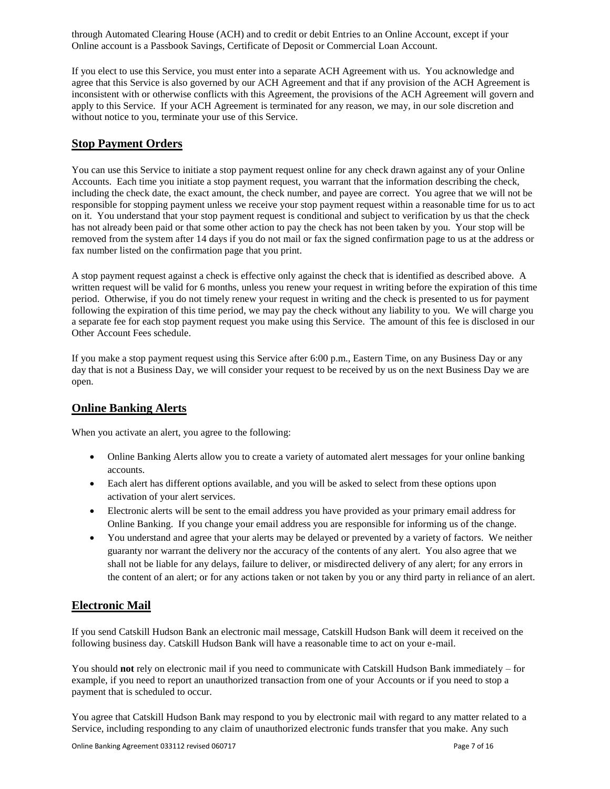through Automated Clearing House (ACH) and to credit or debit Entries to an Online Account, except if your Online account is a Passbook Savings, Certificate of Deposit or Commercial Loan Account.

If you elect to use this Service, you must enter into a separate ACH Agreement with us. You acknowledge and agree that this Service is also governed by our ACH Agreement and that if any provision of the ACH Agreement is inconsistent with or otherwise conflicts with this Agreement, the provisions of the ACH Agreement will govern and apply to this Service. If your ACH Agreement is terminated for any reason, we may, in our sole discretion and without notice to you, terminate your use of this Service.

### **Stop Payment Orders**

You can use this Service to initiate a stop payment request online for any check drawn against any of your Online Accounts. Each time you initiate a stop payment request, you warrant that the information describing the check, including the check date, the exact amount, the check number, and payee are correct. You agree that we will not be responsible for stopping payment unless we receive your stop payment request within a reasonable time for us to act on it. You understand that your stop payment request is conditional and subject to verification by us that the check has not already been paid or that some other action to pay the check has not been taken by you. Your stop will be removed from the system after 14 days if you do not mail or fax the signed confirmation page to us at the address or fax number listed on the confirmation page that you print.

A stop payment request against a check is effective only against the check that is identified as described above. A written request will be valid for 6 months, unless you renew your request in writing before the expiration of this time period. Otherwise, if you do not timely renew your request in writing and the check is presented to us for payment following the expiration of this time period, we may pay the check without any liability to you. We will charge you a separate fee for each stop payment request you make using this Service. The amount of this fee is disclosed in our Other Account Fees schedule.

If you make a stop payment request using this Service after 6:00 p.m., Eastern Time, on any Business Day or any day that is not a Business Day, we will consider your request to be received by us on the next Business Day we are open.

# **Online Banking Alerts**

When you activate an alert, you agree to the following:

- Online Banking Alerts allow you to create a variety of automated alert messages for your online banking accounts.
- Each alert has different options available, and you will be asked to select from these options upon activation of your alert services.
- Electronic alerts will be sent to the email address you have provided as your primary email address for Online Banking. If you change your email address you are responsible for informing us of the change.
- You understand and agree that your alerts may be delayed or prevented by a variety of factors. We neither guaranty nor warrant the delivery nor the accuracy of the contents of any alert. You also agree that we shall not be liable for any delays, failure to deliver, or misdirected delivery of any alert; for any errors in the content of an alert; or for any actions taken or not taken by you or any third party in reliance of an alert.

# **Electronic Mail**

If you send Catskill Hudson Bank an electronic mail message, Catskill Hudson Bank will deem it received on the following business day. Catskill Hudson Bank will have a reasonable time to act on your e-mail.

You should **not** rely on electronic mail if you need to communicate with Catskill Hudson Bank immediately – for example, if you need to report an unauthorized transaction from one of your Accounts or if you need to stop a payment that is scheduled to occur.

You agree that Catskill Hudson Bank may respond to you by electronic mail with regard to any matter related to a Service, including responding to any claim of unauthorized electronic funds transfer that you make. Any such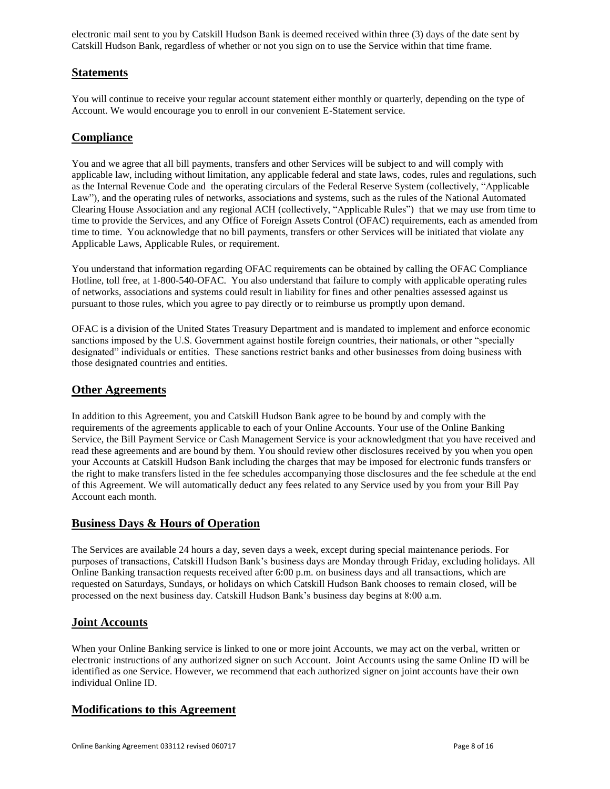electronic mail sent to you by Catskill Hudson Bank is deemed received within three (3) days of the date sent by Catskill Hudson Bank, regardless of whether or not you sign on to use the Service within that time frame.

# **Statements**

You will continue to receive your regular account statement either monthly or quarterly, depending on the type of Account. We would encourage you to enroll in our convenient E-Statement service.

# **Compliance**

You and we agree that all bill payments, transfers and other Services will be subject to and will comply with applicable law, including without limitation, any applicable federal and state laws, codes, rules and regulations, such as the Internal Revenue Code and the operating circulars of the Federal Reserve System (collectively, "Applicable Law"), and the operating rules of networks, associations and systems, such as the rules of the National Automated Clearing House Association and any regional ACH (collectively, "Applicable Rules") that we may use from time to time to provide the Services, and any Office of Foreign Assets Control (OFAC) requirements, each as amended from time to time. You acknowledge that no bill payments, transfers or other Services will be initiated that violate any Applicable Laws, Applicable Rules, or requirement.

You understand that information regarding OFAC requirements can be obtained by calling the OFAC Compliance Hotline, toll free, at 1-800-540-OFAC. You also understand that failure to comply with applicable operating rules of networks, associations and systems could result in liability for fines and other penalties assessed against us pursuant to those rules, which you agree to pay directly or to reimburse us promptly upon demand.

OFAC is a division of the United States Treasury Department and is mandated to implement and enforce economic sanctions imposed by the U.S. Government against hostile foreign countries, their nationals, or other "specially designated" individuals or entities. These sanctions restrict banks and other businesses from doing business with those designated countries and entities.

# **Other Agreements**

In addition to this Agreement, you and Catskill Hudson Bank agree to be bound by and comply with the requirements of the agreements applicable to each of your Online Accounts. Your use of the Online Banking Service, the Bill Payment Service or Cash Management Service is your acknowledgment that you have received and read these agreements and are bound by them. You should review other disclosures received by you when you open your Accounts at Catskill Hudson Bank including the charges that may be imposed for electronic funds transfers or the right to make transfers listed in the fee schedules accompanying those disclosures and the fee schedule at the end of this Agreement. We will automatically deduct any fees related to any Service used by you from your Bill Pay Account each month.

### **Business Days & Hours of Operation**

The Services are available 24 hours a day, seven days a week, except during special maintenance periods. For purposes of transactions, Catskill Hudson Bank's business days are Monday through Friday, excluding holidays. All Online Banking transaction requests received after 6:00 p.m. on business days and all transactions, which are requested on Saturdays, Sundays, or holidays on which Catskill Hudson Bank chooses to remain closed, will be processed on the next business day. Catskill Hudson Bank's business day begins at 8:00 a.m.

### **Joint Accounts**

When your Online Banking service is linked to one or more joint Accounts, we may act on the verbal, written or electronic instructions of any authorized signer on such Account. Joint Accounts using the same Online ID will be identified as one Service. However, we recommend that each authorized signer on joint accounts have their own individual Online ID.

### **Modifications to this Agreement**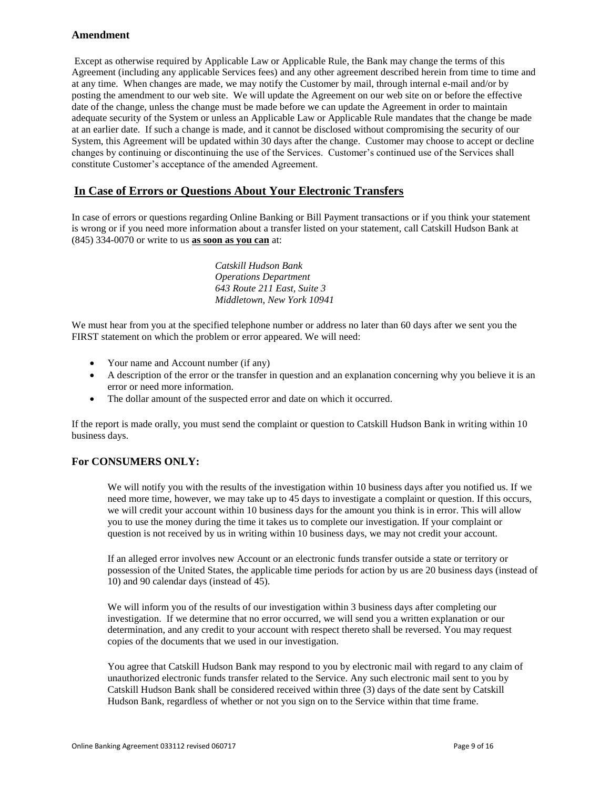#### **Amendment**

Except as otherwise required by Applicable Law or Applicable Rule, the Bank may change the terms of this Agreement (including any applicable Services fees) and any other agreement described herein from time to time and at any time. When changes are made, we may notify the Customer by mail, through internal e-mail and/or by posting the amendment to our web site. We will update the Agreement on our web site on or before the effective date of the change, unless the change must be made before we can update the Agreement in order to maintain adequate security of the System or unless an Applicable Law or Applicable Rule mandates that the change be made at an earlier date. If such a change is made, and it cannot be disclosed without compromising the security of our System, this Agreement will be updated within 30 days after the change. Customer may choose to accept or decline changes by continuing or discontinuing the use of the Services. Customer's continued use of the Services shall constitute Customer's acceptance of the amended Agreement.

# **In Case of Errors or Questions About Your Electronic Transfers**

In case of errors or questions regarding Online Banking or Bill Payment transactions or if you think your statement is wrong or if you need more information about a transfer listed on your statement, call Catskill Hudson Bank at (845) 334-0070 or write to us **as soon as you can** at:

> *Catskill Hudson Bank Operations Department 643 Route 211 East, Suite 3 Middletown, New York 10941*

We must hear from you at the specified telephone number or address no later than 60 days after we sent you the FIRST statement on which the problem or error appeared. We will need:

- Your name and Account number (if any)
- A description of the error or the transfer in question and an explanation concerning why you believe it is an error or need more information.
- The dollar amount of the suspected error and date on which it occurred.

If the report is made orally, you must send the complaint or question to Catskill Hudson Bank in writing within 10 business days.

#### **For CONSUMERS ONLY:**

We will notify you with the results of the investigation within 10 business days after you notified us. If we need more time, however, we may take up to 45 days to investigate a complaint or question. If this occurs, we will credit your account within 10 business days for the amount you think is in error. This will allow you to use the money during the time it takes us to complete our investigation. If your complaint or question is not received by us in writing within 10 business days, we may not credit your account.

If an alleged error involves new Account or an electronic funds transfer outside a state or territory or possession of the United States, the applicable time periods for action by us are 20 business days (instead of 10) and 90 calendar days (instead of 45).

We will inform you of the results of our investigation within 3 business days after completing our investigation. If we determine that no error occurred, we will send you a written explanation or our determination, and any credit to your account with respect thereto shall be reversed. You may request copies of the documents that we used in our investigation.

You agree that Catskill Hudson Bank may respond to you by electronic mail with regard to any claim of unauthorized electronic funds transfer related to the Service. Any such electronic mail sent to you by Catskill Hudson Bank shall be considered received within three (3) days of the date sent by Catskill Hudson Bank, regardless of whether or not you sign on to the Service within that time frame.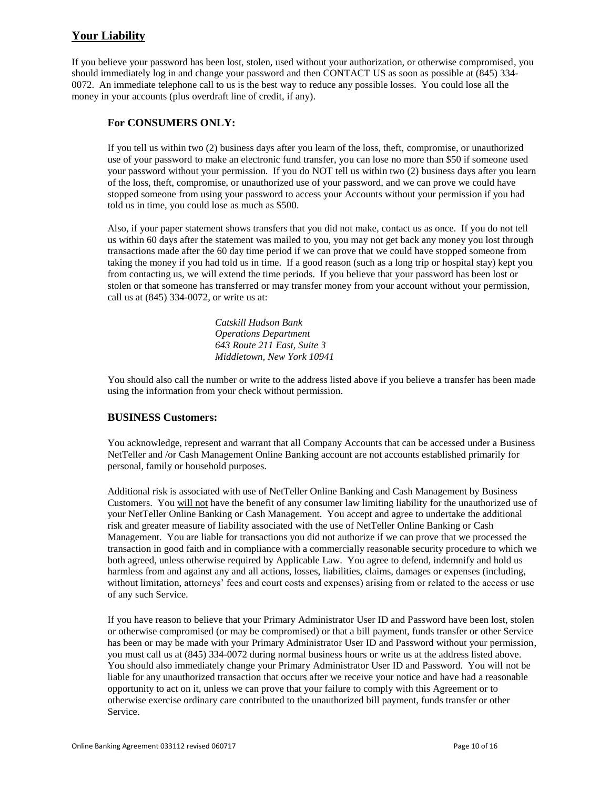# **Your Liability**

If you believe your password has been lost, stolen, used without your authorization, or otherwise compromised, you should immediately log in and change your password and then CONTACT US as soon as possible at (845) 334- 0072. An immediate telephone call to us is the best way to reduce any possible losses. You could lose all the money in your accounts (plus overdraft line of credit, if any).

### **For CONSUMERS ONLY:**

If you tell us within two (2) business days after you learn of the loss, theft, compromise, or unauthorized use of your password to make an electronic fund transfer, you can lose no more than \$50 if someone used your password without your permission. If you do NOT tell us within two (2) business days after you learn of the loss, theft, compromise, or unauthorized use of your password, and we can prove we could have stopped someone from using your password to access your Accounts without your permission if you had told us in time, you could lose as much as \$500.

Also, if your paper statement shows transfers that you did not make, contact us as once. If you do not tell us within 60 days after the statement was mailed to you, you may not get back any money you lost through transactions made after the 60 day time period if we can prove that we could have stopped someone from taking the money if you had told us in time. If a good reason (such as a long trip or hospital stay) kept you from contacting us, we will extend the time periods. If you believe that your password has been lost or stolen or that someone has transferred or may transfer money from your account without your permission, call us at (845) 334-0072, or write us at:

> *Catskill Hudson Bank Operations Department 643 Route 211 East, Suite 3 Middletown, New York 10941*

You should also call the number or write to the address listed above if you believe a transfer has been made using the information from your check without permission.

#### **BUSINESS Customers:**

You acknowledge, represent and warrant that all Company Accounts that can be accessed under a Business NetTeller and /or Cash Management Online Banking account are not accounts established primarily for personal, family or household purposes.

Additional risk is associated with use of NetTeller Online Banking and Cash Management by Business Customers. You will not have the benefit of any consumer law limiting liability for the unauthorized use of your NetTeller Online Banking or Cash Management. You accept and agree to undertake the additional risk and greater measure of liability associated with the use of NetTeller Online Banking or Cash Management. You are liable for transactions you did not authorize if we can prove that we processed the transaction in good faith and in compliance with a commercially reasonable security procedure to which we both agreed, unless otherwise required by Applicable Law. You agree to defend, indemnify and hold us harmless from and against any and all actions, losses, liabilities, claims, damages or expenses (including, without limitation, attorneys' fees and court costs and expenses) arising from or related to the access or use of any such Service.

If you have reason to believe that your Primary Administrator User ID and Password have been lost, stolen or otherwise compromised (or may be compromised) or that a bill payment, funds transfer or other Service has been or may be made with your Primary Administrator User ID and Password without your permission, you must call us at (845) 334-0072 during normal business hours or write us at the address listed above. You should also immediately change your Primary Administrator User ID and Password. You will not be liable for any unauthorized transaction that occurs after we receive your notice and have had a reasonable opportunity to act on it, unless we can prove that your failure to comply with this Agreement or to otherwise exercise ordinary care contributed to the unauthorized bill payment, funds transfer or other Service.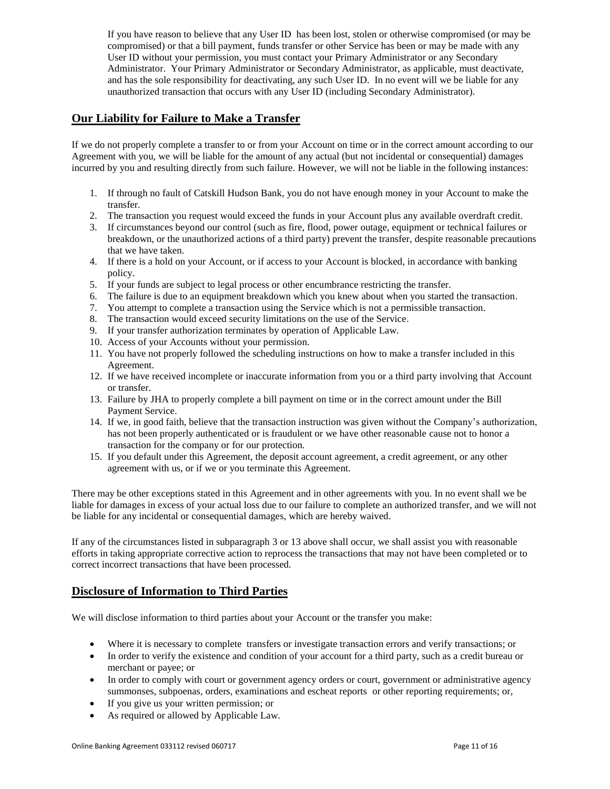If you have reason to believe that any User ID has been lost, stolen or otherwise compromised (or may be compromised) or that a bill payment, funds transfer or other Service has been or may be made with any User ID without your permission, you must contact your Primary Administrator or any Secondary Administrator. Your Primary Administrator or Secondary Administrator, as applicable, must deactivate, and has the sole responsibility for deactivating, any such User ID. In no event will we be liable for any unauthorized transaction that occurs with any User ID (including Secondary Administrator).

# **Our Liability for Failure to Make a Transfer**

If we do not properly complete a transfer to or from your Account on time or in the correct amount according to our Agreement with you, we will be liable for the amount of any actual (but not incidental or consequential) damages incurred by you and resulting directly from such failure. However, we will not be liable in the following instances:

- 1. If through no fault of Catskill Hudson Bank, you do not have enough money in your Account to make the transfer.
- 2. The transaction you request would exceed the funds in your Account plus any available overdraft credit.
- 3. If circumstances beyond our control (such as fire, flood, power outage, equipment or technical failures or breakdown, or the unauthorized actions of a third party) prevent the transfer, despite reasonable precautions that we have taken.
- 4. If there is a hold on your Account, or if access to your Account is blocked, in accordance with banking policy.
- 5. If your funds are subject to legal process or other encumbrance restricting the transfer.
- 6. The failure is due to an equipment breakdown which you knew about when you started the transaction.
- 7. You attempt to complete a transaction using the Service which is not a permissible transaction.
- 8. The transaction would exceed security limitations on the use of the Service.
- 9. If your transfer authorization terminates by operation of Applicable Law.
- 10. Access of your Accounts without your permission.
- 11. You have not properly followed the scheduling instructions on how to make a transfer included in this Agreement.
- 12. If we have received incomplete or inaccurate information from you or a third party involving that Account or transfer.
- 13. Failure by JHA to properly complete a bill payment on time or in the correct amount under the Bill Payment Service.
- 14. If we, in good faith, believe that the transaction instruction was given without the Company's authorization, has not been properly authenticated or is fraudulent or we have other reasonable cause not to honor a transaction for the company or for our protection.
- 15. If you default under this Agreement, the deposit account agreement, a credit agreement, or any other agreement with us, or if we or you terminate this Agreement.

There may be other exceptions stated in this Agreement and in other agreements with you. In no event shall we be liable for damages in excess of your actual loss due to our failure to complete an authorized transfer, and we will not be liable for any incidental or consequential damages, which are hereby waived.

If any of the circumstances listed in subparagraph 3 or 13 above shall occur, we shall assist you with reasonable efforts in taking appropriate corrective action to reprocess the transactions that may not have been completed or to correct incorrect transactions that have been processed.

### **Disclosure of Information to Third Parties**

We will disclose information to third parties about your Account or the transfer you make:

- Where it is necessary to complete transfers or investigate transaction errors and verify transactions; or
- In order to verify the existence and condition of your account for a third party, such as a credit bureau or merchant or payee; or
- In order to comply with court or government agency orders or court, government or administrative agency summonses, subpoenas, orders, examinations and escheat reports or other reporting requirements; or,
- If you give us your written permission; or
- As required or allowed by Applicable Law.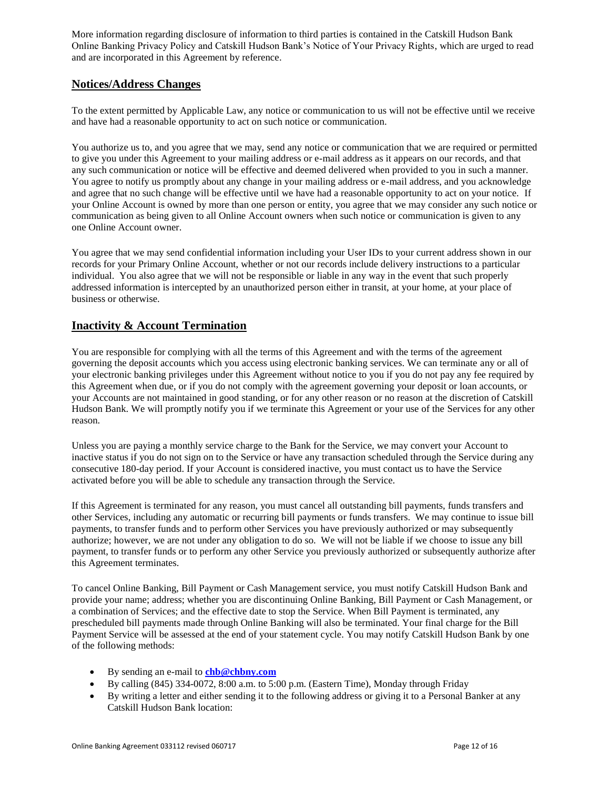More information regarding disclosure of information to third parties is contained in the Catskill Hudson Bank Online Banking Privacy Policy and Catskill Hudson Bank's Notice of Your Privacy Rights, which are urged to read and are incorporated in this Agreement by reference.

### **Notices/Address Changes**

To the extent permitted by Applicable Law, any notice or communication to us will not be effective until we receive and have had a reasonable opportunity to act on such notice or communication.

You authorize us to, and you agree that we may, send any notice or communication that we are required or permitted to give you under this Agreement to your mailing address or e-mail address as it appears on our records, and that any such communication or notice will be effective and deemed delivered when provided to you in such a manner. You agree to notify us promptly about any change in your mailing address or e-mail address, and you acknowledge and agree that no such change will be effective until we have had a reasonable opportunity to act on your notice. If your Online Account is owned by more than one person or entity, you agree that we may consider any such notice or communication as being given to all Online Account owners when such notice or communication is given to any one Online Account owner.

You agree that we may send confidential information including your User IDs to your current address shown in our records for your Primary Online Account, whether or not our records include delivery instructions to a particular individual. You also agree that we will not be responsible or liable in any way in the event that such properly addressed information is intercepted by an unauthorized person either in transit, at your home, at your place of business or otherwise.

# **Inactivity & Account Termination**

You are responsible for complying with all the terms of this Agreement and with the terms of the agreement governing the deposit accounts which you access using electronic banking services. We can terminate any or all of your electronic banking privileges under this Agreement without notice to you if you do not pay any fee required by this Agreement when due, or if you do not comply with the agreement governing your deposit or loan accounts, or your Accounts are not maintained in good standing, or for any other reason or no reason at the discretion of Catskill Hudson Bank. We will promptly notify you if we terminate this Agreement or your use of the Services for any other reason.

Unless you are paying a monthly service charge to the Bank for the Service, we may convert your Account to inactive status if you do not sign on to the Service or have any transaction scheduled through the Service during any consecutive 180-day period. If your Account is considered inactive, you must contact us to have the Service activated before you will be able to schedule any transaction through the Service.

If this Agreement is terminated for any reason, you must cancel all outstanding bill payments, funds transfers and other Services, including any automatic or recurring bill payments or funds transfers. We may continue to issue bill payments, to transfer funds and to perform other Services you have previously authorized or may subsequently authorize; however, we are not under any obligation to do so. We will not be liable if we choose to issue any bill payment, to transfer funds or to perform any other Service you previously authorized or subsequently authorize after this Agreement terminates.

To cancel Online Banking, Bill Payment or Cash Management service, you must notify Catskill Hudson Bank and provide your name; address; whether you are discontinuing Online Banking, Bill Payment or Cash Management, or a combination of Services; and the effective date to stop the Service. When Bill Payment is terminated, any prescheduled bill payments made through Online Banking will also be terminated. Your final charge for the Bill Payment Service will be assessed at the end of your statement cycle. You may notify Catskill Hudson Bank by one of the following methods:

- By sending an e-mail to **[chb@chbny.com](mailto:chb@chbny.com)**
- By calling (845) 334-0072, 8:00 a.m. to 5:00 p.m. (Eastern Time), Monday through Friday
- By writing a letter and either sending it to the following address or giving it to a Personal Banker at any Catskill Hudson Bank location: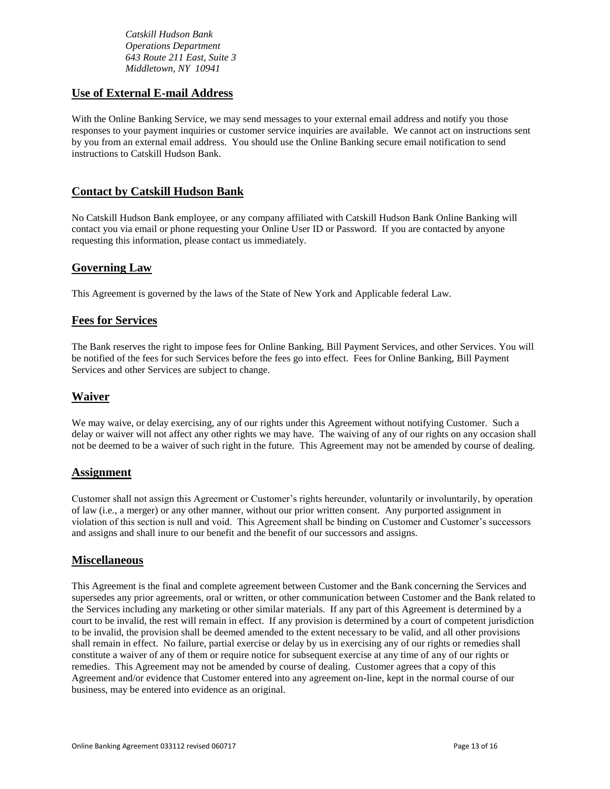*Catskill Hudson Bank Operations Department 643 Route 211 East, Suite 3 Middletown, NY 10941*

### **Use of External E-mail Address**

With the Online Banking Service, we may send messages to your external email address and notify you those responses to your payment inquiries or customer service inquiries are available. We cannot act on instructions sent by you from an external email address. You should use the Online Banking secure email notification to send instructions to Catskill Hudson Bank.

# **Contact by Catskill Hudson Bank**

No Catskill Hudson Bank employee, or any company affiliated with Catskill Hudson Bank Online Banking will contact you via email or phone requesting your Online User ID or Password. If you are contacted by anyone requesting this information, please contact us immediately.

# **Governing Law**

This Agreement is governed by the laws of the State of New York and Applicable federal Law.

### **Fees for Services**

The Bank reserves the right to impose fees for Online Banking, Bill Payment Services, and other Services. You will be notified of the fees for such Services before the fees go into effect. Fees for Online Banking, Bill Payment Services and other Services are subject to change.

# **Waiver**

We may waive, or delay exercising, any of our rights under this Agreement without notifying Customer. Such a delay or waiver will not affect any other rights we may have. The waiving of any of our rights on any occasion shall not be deemed to be a waiver of such right in the future. This Agreement may not be amended by course of dealing.

#### **Assignment**

Customer shall not assign this Agreement or Customer's rights hereunder, voluntarily or involuntarily, by operation of law (i.e*.*, a merger) or any other manner, without our prior written consent. Any purported assignment in violation of this section is null and void. This Agreement shall be binding on Customer and Customer's successors and assigns and shall inure to our benefit and the benefit of our successors and assigns.

### **Miscellaneous**

This Agreement is the final and complete agreement between Customer and the Bank concerning the Services and supersedes any prior agreements, oral or written, or other communication between Customer and the Bank related to the Services including any marketing or other similar materials. If any part of this Agreement is determined by a court to be invalid, the rest will remain in effect. If any provision is determined by a court of competent jurisdiction to be invalid, the provision shall be deemed amended to the extent necessary to be valid, and all other provisions shall remain in effect. No failure, partial exercise or delay by us in exercising any of our rights or remedies shall constitute a waiver of any of them or require notice for subsequent exercise at any time of any of our rights or remedies. This Agreement may not be amended by course of dealing. Customer agrees that a copy of this Agreement and/or evidence that Customer entered into any agreement on-line, kept in the normal course of our business, may be entered into evidence as an original.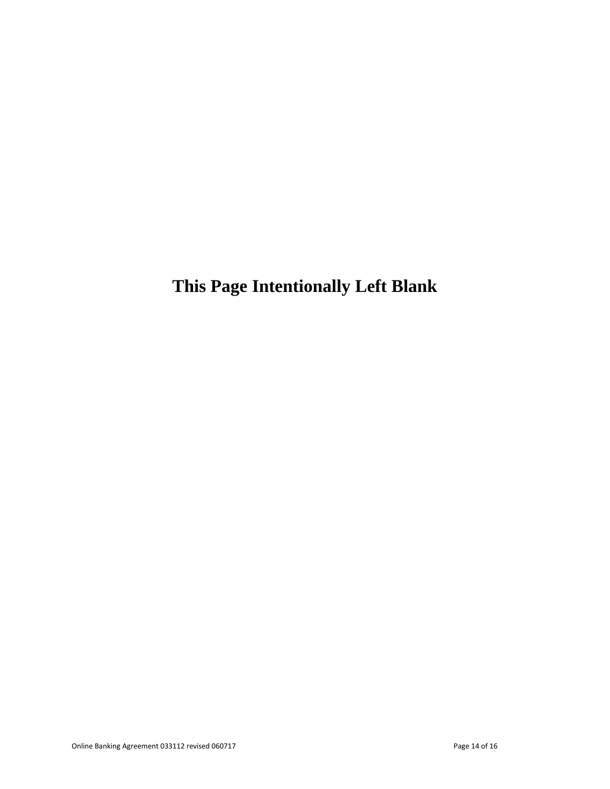**This Page Intentionally Left Blank**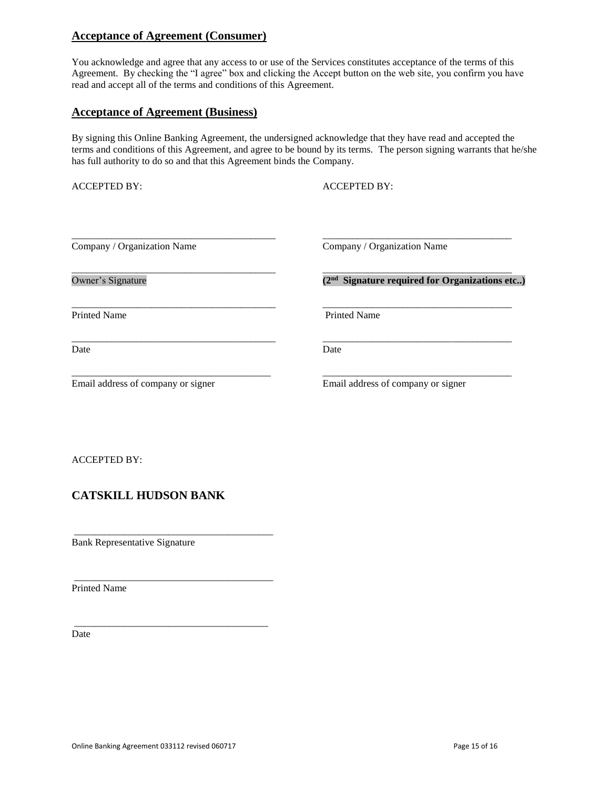### **Acceptance of Agreement (Consumer)**

You acknowledge and agree that any access to or use of the Services constitutes acceptance of the terms of this Agreement. By checking the "I agree" box and clicking the Accept button on the web site, you confirm you have read and accept all of the terms and conditions of this Agreement.

### **Acceptance of Agreement (Business)**

By signing this Online Banking Agreement, the undersigned acknowledge that they have read and accepted the terms and conditions of this Agreement, and agree to be bound by its terms. The person signing warrants that he/she has full authority to do so and that this Agreement binds the Company.

| <b>ACCEPTED BY:</b>                | <b>ACCEPTED BY:</b>                              |  |
|------------------------------------|--------------------------------------------------|--|
| Company / Organization Name        | Company / Organization Name                      |  |
| Owner's Signature                  | $(2nd$ Signature required for Organizations etc) |  |
| <b>Printed Name</b>                | <b>Printed Name</b>                              |  |
| Date                               | Date                                             |  |
| Email address of company or signer | Email address of company or signer               |  |

ACCEPTED BY:

# **CATSKILL HUDSON BANK**

\_\_\_\_\_\_\_\_\_\_\_\_\_\_\_\_\_\_\_\_\_\_\_\_\_\_\_\_\_\_\_\_\_\_\_\_\_\_\_\_

\_\_\_\_\_\_\_\_\_\_\_\_\_\_\_\_\_\_\_\_\_\_\_\_\_\_\_\_\_\_\_\_\_\_\_\_\_\_\_\_

\_\_\_\_\_\_\_\_\_\_\_\_\_\_\_\_\_\_\_\_\_\_\_\_\_\_\_\_\_\_\_\_\_\_\_\_\_\_\_

Bank Representative Signature

Printed Name

Date